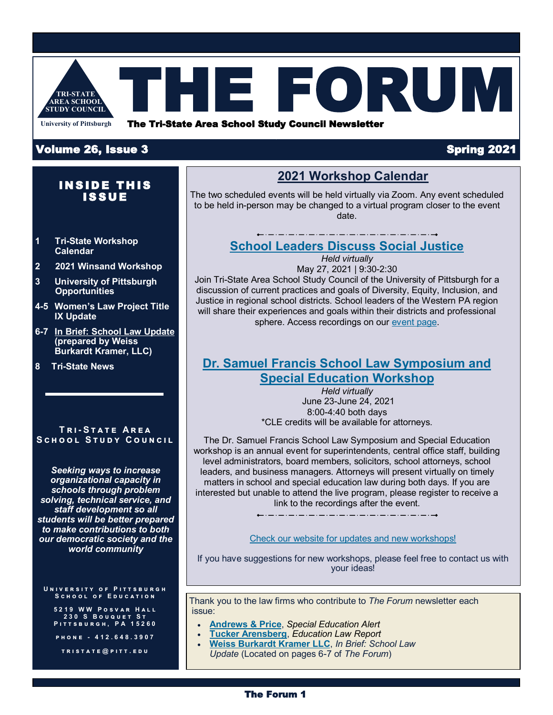

## Volume 26, Issue 3 Spring 2021

## **INSIDE THIS ISSUE**

- **1 Tri-State Workshop Calendar**
- **2 2021 Winsand Workshop**
- **3 University of Pittsburgh Opportunities**
- **4-5 Women's Law Project Title IX Update**
- **6-7 [In Brief: School Law Update](https://tristate.pitt.edu/wbk_theforum_spring_2021/) (prepared by Weiss Burkardt Kramer, LLC)**

**8 Tri-State News**

## **T r i- S t a t e A r e a**  SCHOOL STUDY COUNCIL

*Seeking ways to increase organizational capacity in schools through problem solving, technical service, and staff development so all students will be better prepared to make contributions to both our democratic society and the world community*

## **U n i v e r s i т у о ғ Рітт s b u r g н**<br>S c н о о ғ Е р и с а т i о n

**5 2 1 9 W W P o s v a r H a l l 2 3 0 S B o u q u e t S t P i t t s b u r g h , P A 1 5 2 6 0**

**p h o n e - 4 1 2 . 6 4 8 . 3 9 0 7**

**t r i s t a t e @ p i t t . e d u** 

## **2021 Workshop Calendar**

The two scheduled events will be held virtually via Zoom. Any event scheduled to be held in-person may be changed to a virtual program closer to the event date.

## **[School Leaders Discuss Social Justice](https://tristate.pitt.edu/dei-2021/)**

*Held virtually* May 27, 2021 | 9:30-2:30 Join Tri-State Area School Study Council of the University of Pittsburgh for a discussion of current practices and goals of Diversity, Equity, Inclusion, and Justice in regional school districts. School leaders of the Western PA region will share their experiences and goals within their districts and professional

sphere. Access recordings on our [event page.](https://tristate.pitt.edu/dei-2021/)

## **[Dr. Samuel Francis School Law Symposium and](https://tristate.pitt.edu/sam-francis-law-symposium-2021/)  [Special Education Workshop](https://tristate.pitt.edu/sam-francis-law-symposium-2021/)**

*Held virtually*  June 23-June 24, 2021 8:00-4:40 both days \*CLE credits will be available for attorneys.

The Dr. Samuel Francis School Law Symposium and Special Education workshop is an annual event for superintendents, central office staff, building level administrators, board members, solicitors, school attorneys, school leaders, and business managers. Attorneys will present virtually on timely matters in school and special education law during both days. If you are interested but unable to attend the live program, please register to receive a link to the recordings after the event.

## [Check our website for updates and new workshops!](https://tristate.pitt.edu/events/)

If you have suggestions for new workshops, please feel free to contact us with your ideas!

Thank you to the law firms who contribute to *The Forum* newsletter each issue:

- **[Andrews & Price](https://tristate.pitt.edu/special-education-report-spring-21/)**, *Special Education Alert*
- **[Tucker Arensberg](https://tristate.pitt.edu/education-law-report-spring-21/)**, *Education Law Report*
- **[Weiss Burkardt Kramer LLC](https://tristate.pitt.edu/wbk_theforum_spring_2021/)**, *In Brief: School Law Update* (Located on pages 6-7 of *The Forum*)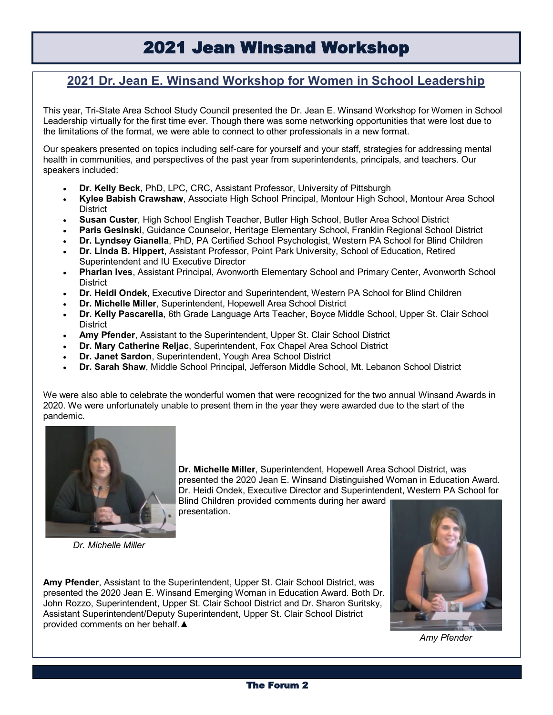# 2021 Jean Winsand Workshop

## **2021 Dr. Jean E. Winsand Workshop for Women in School Leadership**

This year, Tri-State Area School Study Council presented the Dr. Jean E. Winsand Workshop for Women in School Leadership virtually for the first time ever. Though there was some networking opportunities that were lost due to the limitations of the format, we were able to connect to other professionals in a new format.

Our speakers presented on topics including self-care for yourself and your staff, strategies for addressing mental health in communities, and perspectives of the past year from superintendents, principals, and teachers. Our speakers included:

- **Dr. Kelly Beck**, PhD, LPC, CRC, Assistant Professor, University of Pittsburgh
- **Kylee Babish Crawshaw**, Associate High School Principal, Montour High School, Montour Area School **District**
- **Susan Custer**, High School English Teacher, Butler High School, Butler Area School District
- **Paris Gesinski**, Guidance Counselor, Heritage Elementary School, Franklin Regional School District
- **Dr. Lyndsey Gianella**, PhD, PA Certified School Psychologist, Western PA School for Blind Children
- **Dr. Linda B. Hippert**, Assistant Professor, Point Park University, School of Education, Retired Superintendent and IU Executive Director
- **Pharlan Ives**, Assistant Principal, Avonworth Elementary School and Primary Center, Avonworth School **District**
- **Dr. Heidi Ondek**, Executive Director and Superintendent, Western PA School for Blind Children
- **Dr. Michelle Miller**, Superintendent, Hopewell Area School District
- **Dr. Kelly Pascarella**, 6th Grade Language Arts Teacher, Boyce Middle School, Upper St. Clair School **District**
- **Amy Pfender**, Assistant to the Superintendent, Upper St. Clair School District
- **Dr. Mary Catherine Reljac**, Superintendent, Fox Chapel Area School District
- **Dr. Janet Sardon**, Superintendent, Yough Area School District
- **Dr. Sarah Shaw**, Middle School Principal, Jefferson Middle School, Mt. Lebanon School District

We were also able to celebrate the wonderful women that were recognized for the two annual Winsand Awards in 2020. We were unfortunately unable to present them in the year they were awarded due to the start of the pandemic.



*Dr. Michelle Miller*

**Dr. Michelle Miller**, Superintendent, Hopewell Area School District, was presented the 2020 Jean E. Winsand Distinguished Woman in Education Award. Dr. Heidi Ondek, Executive Director and Superintendent, Western PA School for Blind Children provided comments during her award presentation.

**Amy Pfender**, Assistant to the Superintendent, Upper St. Clair School District, was presented the 2020 Jean E. Winsand Emerging Woman in Education Award. Both Dr. John Rozzo, Superintendent, Upper St. Clair School District and Dr. Sharon Suritsky, Assistant Superintendent/Deputy Superintendent, Upper St. Clair School District provided comments on her behalf.▲



*Amy Pfender*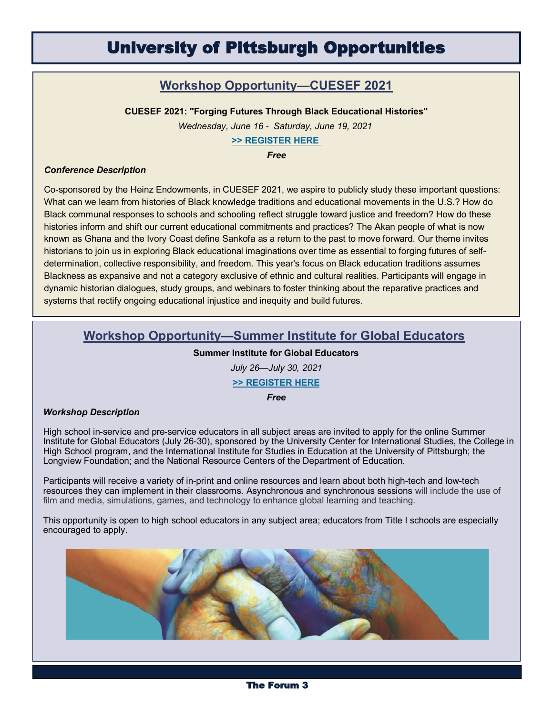## University of Pittsburgh Opportunities

## **Workshop Opportunity—CUESEF 2021**

**CUESEF 2021: "Forging Futures Through Black Educational Histories"**

*Wednesday, June 16 - Saturday, June 19, 2021*

**[>> REGISTER HERE](https://www.cue.pitt.edu/event/cuesef-2021-forging-futures-through-black-educational-histories?utm_source=sendgrid.com&utm_medium=email&utm_campaign=website)**

*Free*

### *Conference Description*

Co-sponsored by the Heinz Endowments, in CUESEF 2021, we aspire to publicly study these important questions: What can we learn from histories of Black knowledge traditions and educational movements in the U.S.? How do Black communal responses to schools and schooling reflect struggle toward justice and freedom? How do these histories inform and shift our current educational commitments and practices? The Akan people of what is now known as Ghana and the Ivory Coast define Sankofa as a return to the past to move forward. Our theme invites historians to join us in exploring Black educational imaginations over time as essential to forging futures of selfdetermination, collective responsibility, and freedom. This year's focus on Black education traditions assumes Blackness as expansive and not a category exclusive of ethnic and cultural realities. Participants will engage in dynamic historian dialogues, study groups, and webinars to foster thinking about the reparative practices and systems that rectify ongoing educational injustice and inequity and build futures.

## **Workshop Opportunity—Summer Institute for Global Educators**

## **Summer Institute for Global Educators**

*July 26—July 30, 2021*

## **[>> REGISTER HERE](https://www.ucis.pitt.edu/schoolsandcommunity/summer-institute-global-educators-2021)**

*Free*

### *Workshop Description*

High school in-service and pre-service educators in all subject areas are invited to apply for the online Summer Institute for Global Educators (July 26-30), sponsored by the University Center for International Studies, the College in High School program, and the International Institute for Studies in Education at the University of Pittsburgh; the Longview Foundation; and the National Resource Centers of the Department of Education.

Participants will receive a variety of in-print and online resources and learn about both high-tech and low-tech resources they can implement in their classrooms. Asynchronous and synchronous sessions will include the use of film and media, simulations, games, and technology to enhance global learning and teaching.

This opportunity is open to high school educators in any subject area; educators from Title I schools are especially encouraged to apply.



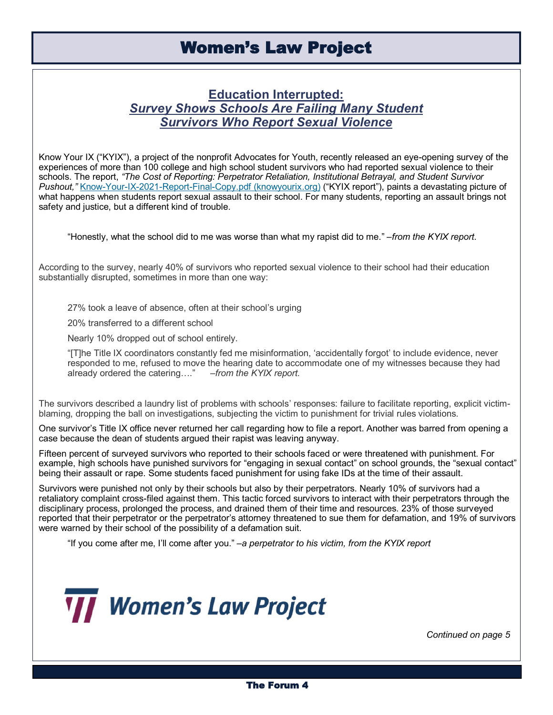## **Education Interrupted:** *Survey Shows Schools Are Failing Many Student Survivors Who Report Sexual Violence*

Know Your IX ("KYIX"), a project of the nonprofit Advocates for Youth, recently released an eye-opening survey of the experiences of more than 100 college and high school student survivors who had reported sexual violence to their schools. The report, *"The Cost of Reporting: Perpetrator Retaliation, Institutional Betrayal, and Student Survivor*  Pushout," Know-Your-IX-2021-Report-Final-[Copy.pdf \(knowyourix.org\)](https://www.knowyourix.org/wp-content/uploads/2021/03/Know-Your-IX-2021-Report-Final-Copy.pdf) ("KYIX report"), paints a devastating picture of what happens when students report sexual assault to their school. For many students, reporting an assault brings not safety and justice, but a different kind of trouble.

"Honestly, what the school did to me was worse than what my rapist did to me." –*from the KYIX report.*

According to the survey, nearly 40% of survivors who reported sexual violence to their school had their education substantially disrupted, sometimes in more than one way:

27% took a leave of absence, often at their school's urging

20% transferred to a different school

Nearly 10% dropped out of school entirely.

"[T]he Title IX coordinators constantly fed me misinformation, 'accidentally forgot' to include evidence, never responded to me, refused to move the hearing date to accommodate one of my witnesses because they had already ordered the catering…." –*from the KYIX report.*

The survivors described a laundry list of problems with schools' responses: failure to facilitate reporting, explicit victimblaming, dropping the ball on investigations, subjecting the victim to punishment for trivial rules violations.

One survivor's Title IX office never returned her call regarding how to file a report. Another was barred from opening a case because the dean of students argued their rapist was leaving anyway.

Fifteen percent of surveyed survivors who reported to their schools faced or were threatened with punishment. For example, high schools have punished survivors for "engaging in sexual contact" on school grounds, the "sexual contact" being their assault or rape. Some students faced punishment for using fake IDs at the time of their assault.

Survivors were punished not only by their schools but also by their perpetrators. Nearly 10% of survivors had a retaliatory complaint cross-filed against them. This tactic forced survivors to interact with their perpetrators through the disciplinary process, prolonged the process, and drained them of their time and resources. 23% of those surveyed reported that their perpetrator or the perpetrator's attorney threatened to sue them for defamation, and 19% of survivors were warned by their school of the possibility of a defamation suit.

"If you come after me, I'll come after you." –*a perpetrator to his victim, from the KYIX report*



*Continued on page 5*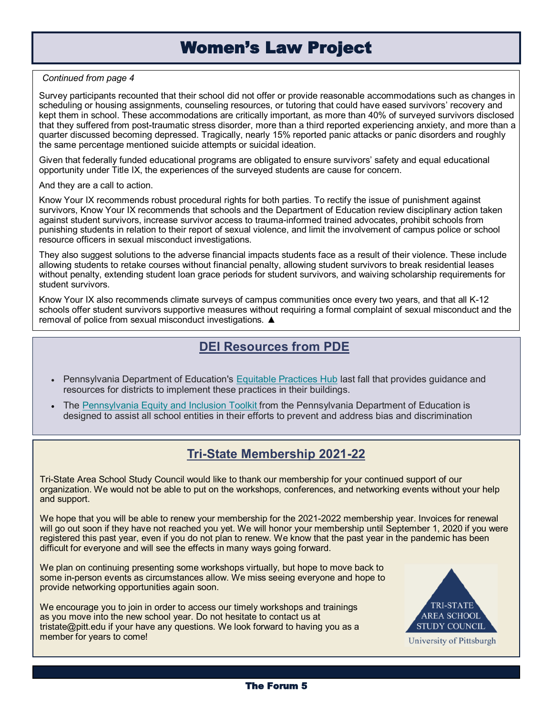## Women's Law Project

#### *Continued from page 4*

Survey participants recounted that their school did not offer or provide reasonable accommodations such as changes in scheduling or housing assignments, counseling resources, or tutoring that could have eased survivors' recovery and kept them in school. These accommodations are critically important, as more than 40% of surveyed survivors disclosed that they suffered from post-traumatic stress disorder, more than a third reported experiencing anxiety, and more than a quarter discussed becoming depressed. Tragically, nearly 15% reported panic attacks or panic disorders and roughly the same percentage mentioned suicide attempts or suicidal ideation.

Given that federally funded educational programs are obligated to ensure survivors' safety and equal educational opportunity under Title IX, the experiences of the surveyed students are cause for concern.

And they are a call to action.

Know Your IX recommends robust procedural rights for both parties. To rectify the issue of punishment against survivors, Know Your IX recommends that schools and the Department of Education review disciplinary action taken against student survivors, increase survivor access to trauma-informed trained advocates, prohibit schools from punishing students in relation to their report of sexual violence, and limit the involvement of campus police or school resource officers in sexual misconduct investigations.

They also suggest solutions to the adverse financial impacts students face as a result of their violence. These include allowing students to retake courses without financial penalty, allowing student survivors to break residential leases without penalty, extending student loan grace periods for student survivors, and waiving scholarship requirements for student survivors.

Know Your IX also recommends climate surveys of campus communities once every two years, and that all K-12 schools offer student survivors supportive measures without requiring a formal complaint of sexual misconduct and the removal of police from sexual misconduct investigations. ▲

## **DEI Resources from PDE**

- Pennsylvania Department of Education's [Equitable Practices Hub](https://nam12.safelinks.protection.outlook.com/?url=https%3A%2F%2Fmailchi.us20.list-manage.com%2Ftrack%2Fclick%3Fu%3D72513d0cef265ed749ec63f4d%26id%3D0d726538de%26e%3D88f905d669&data=04%7C01%7Ctristate%40pitt.edu%7C4a63d80c2a9e48c6e99208d91931dc48%7C9ef9f489e) last fall that provides guidance and resources for districts to implement these practices in their buildings.
- The [Pennsylvania Equity and Inclusion Toolkit f](https://nam12.safelinks.protection.outlook.com/?url=https%3A%2F%2Fmailchi.us20.list-manage.com%2Ftrack%2Fclick%3Fu%3D72513d0cef265ed749ec63f4d%26id%3D9e74ad5b04%26e%3D88f905d669&data=04%7C01%7Ctristate%40pitt.edu%7C4a63d80c2a9e48c6e99208d91931dc48%7C9ef9f489e)rom the Pennsylvania Department of Education is designed to assist all school entities in their efforts to prevent and address bias and discrimination

## **Tri-State Membership 2021-22**

Tri-State Area School Study Council would like to thank our membership for your continued support of our organization. We would not be able to put on the workshops, conferences, and networking events without your help and support.

We hope that you will be able to renew your membership for the 2021-2022 membership year. Invoices for renewal will go out soon if they have not reached you yet. We will honor your membership until September 1, 2020 if you were registered this past year, even if you do not plan to renew. We know that the past year in the pandemic has been difficult for everyone and will see the effects in many ways going forward.

We plan on continuing presenting some workshops virtually, but hope to move back to some in-person events as circumstances allow. We miss seeing everyone and hope to provide networking opportunities again soon.

We encourage you to join in order to access our timely workshops and trainings as you move into the new school year. Do not hesitate to contact us at tristate@pitt.edu if your have any questions. We look forward to having you as a member for years to come!



University of Pittsburgh

## The Forum 5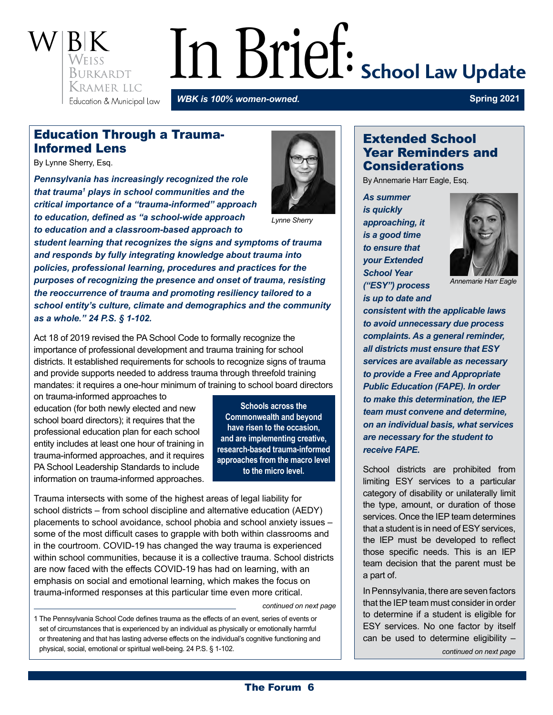

# In Brief: School Law Update

*WBK is 100% women-owned.*

**Spring 2021**

## Education Through a Trauma-Informed Lens

By Lynne Sherry, Esq.

*Pennsylvania has increasingly recognized the role that trauma1 plays in school communities and the critical importance of a "trauma-informed" approach to education, defined as "a school-wide approach to education and a classroom-based approach to* 



*Lynne Sherry*

*student learning that recognizes the signs and symptoms of trauma and responds by fully integrating knowledge about trauma into policies, professional learning, procedures and practices for the purposes of recognizing the presence and onset of trauma, resisting the reoccurrence of trauma and promoting resiliency tailored to a school entity's culture, climate and demographics and the community as a whole." 24 P.S. § 1-102.*

Act 18 of 2019 revised the PA School Code to formally recognize the importance of professional development and trauma training for school districts. It established requirements for schools to recognize signs of trauma and provide supports needed to address trauma through threefold training mandates: it requires a one-hour minimum of training to school board directors

on trauma-informed approaches to education (for both newly elected and new school board directors); it requires that the professional education plan for each school entity includes at least one hour of training in trauma-informed approaches, and it requires PA School Leadership Standards to include information on trauma-informed approaches.

**Schools across the Commonwealth and beyond have risen to the occasion, and are implementing creative, research-based trauma-informed approaches from the macro level to the micro level.**

Trauma intersects with some of the highest areas of legal liability for school districts – from school discipline and alternative education (AEDY) placements to school avoidance, school phobia and school anxiety issues – some of the most difficult cases to grapple with both within classrooms and in the courtroom. COVID-19 has changed the way trauma is experienced within school communities, because it is a collective trauma. School districts are now faced with the effects COVID-19 has had on learning, with an emphasis on social and emotional learning, which makes the focus on trauma-informed responses at this particular time even more critical.

*continued on next page*

1 The Pennsylvania School Code defines trauma as the effects of an event, series of events or set of circumstances that is experienced by an individual as physically or emotionally harmful or threatening and that has lasting adverse effects on the individual's cognitive functioning and physical, social, emotional or spiritual well-being. 24 P.S. § 1-102.

## Extended School Year Reminders and **Considerations**

By Annemarie Harr Eagle, Esq.

*As summer is quickly approaching, it is a good time to ensure that your Extended School Year ("ESY") process is up to date and* 



*Annemarie Harr Eagle*

*consistent with the applicable laws to avoid unnecessary due process complaints. As a general reminder, all districts must ensure that ESY services are available as necessary to provide a Free and Appropriate Public Education (FAPE). In order to make this determination, the IEP team must convene and determine, on an individual basis, what services are necessary for the student to receive FAPE.* 

School districts are prohibited from limiting ESY services to a particular category of disability or unilaterally limit the type, amount, or duration of those services. Once the IEP team determines that a student is in need of ESY services, the IEP must be developed to reflect those specific needs. This is an IEP team decision that the parent must be a part of.

In Pennsylvania, there are seven factors that the IEP team must consider in order to determine if a student is eligible for ESY services. No one factor by itself can be used to determine eligibility  $-$ 

*continued on next page*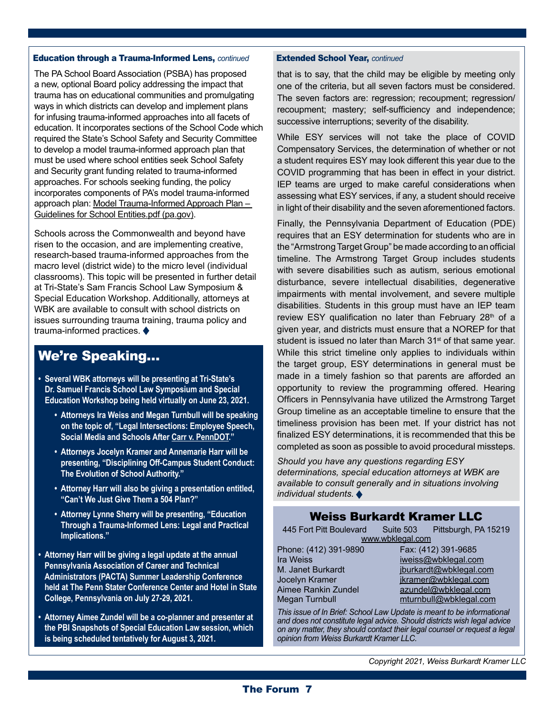#### Education through a Trauma-Informed Lens, *continued* Extended School Year, *continued*

The PA School Board Association (PSBA) has proposed a new, optional Board policy addressing the impact that trauma has on educational communities and promulgating ways in which districts can develop and implement plans for infusing trauma-informed approaches into all facets of education. It incorporates sections of the School Code which required the State's School Safety and Security Committee to develop a model trauma-informed approach plan that must be used where school entities seek School Safety and Security grant funding related to trauma-informed approaches. For schools seeking funding, the policy incorporates components of PA's model trauma-informed approach plan: Model Trauma-Informed Approach Plan -[Guidelines for School Entities.pdf \(pa.gov\)](https://www.pccd.pa.gov/schoolsafety/Documents/Model%20Trauma-Informed%20Approach%20Plan%20-%20Guidelines%20for%20School%20Entities.pdf).

Schools across the Commonwealth and beyond have risen to the occasion, and are implementing creative, research-based trauma-informed approaches from the macro level (district wide) to the micro level (individual classrooms). This topic will be presented in further detail at Tri-State's Sam Francis School Law Symposium & Special Education Workshop. Additionally, attorneys at WBK are available to consult with school districts on issues surrounding trauma training, trauma policy and trauma-informed practices.

## We're Speaking…

- **Several WBK attorneys will be presenting at Tri-State's Dr. Samuel Francis School Law Symposium and Special Education Workshop being held virtually on June 23, 2021.** 
	- **Attorneys Ira Weiss and Megan Turnbull will be speaking on the topic of, "Legal Intersections: Employee Speech, Social Media and Schools After Carr v. PennDOT."**
	- **Attorneys Jocelyn Kramer and Annemarie Harr will be presenting, "Disciplining Off-Campus Student Conduct: The Evolution of School Authority."**
	- **Attorney Harr will also be giving a presentation entitled, "Can't We Just Give Them a 504 Plan?"**
	- **Attorney Lynne Sherry will be presenting, "Education Through a Trauma-Informed Lens: Legal and Practical Implications."**
- **Attorney Harr will be giving a legal update at the annual Pennsylvania Association of Career and Technical Administrators (PACTA) Summer Leadership Conference held at The Penn Stater Conference Center and Hotel in State College, Pennsylvania on July 27-29, 2021.**
- **Attorney Aimee Zundel will be a co-planner and presenter at the PBI Snapshots of Special Education Law session, which is being scheduled tentatively for August 3, 2021.**

that is to say, that the child may be eligible by meeting only one of the criteria, but all seven factors must be considered. The seven factors are: regression; recoupment; regression/ recoupment; mastery; self-sufficiency and independence; successive interruptions; severity of the disability.

While ESY services will not take the place of COVID Compensatory Services, the determination of whether or not a student requires ESY may look different this year due to the COVID programming that has been in effect in your district. IEP teams are urged to make careful considerations when assessing what ESY services, if any, a student should receive in light of their disability and the seven aforementioned factors.

Finally, the Pennsylvania Department of Education (PDE) requires that an ESY determination for students who are in the "Armstrong Target Group" be made according to an official timeline. The Armstrong Target Group includes students with severe disabilities such as autism, serious emotional disturbance, severe intellectual disabilities, degenerative impairments with mental involvement, and severe multiple disabilities. Students in this group must have an IEP team review ESY qualification no later than February 28<sup>th</sup> of a given year, and districts must ensure that a NOREP for that student is issued no later than March  $31<sup>st</sup>$  of that same year. While this strict timeline only applies to individuals within the target group, ESY determinations in general must be made in a timely fashion so that parents are afforded an opportunity to review the programming offered. Hearing Officers in Pennsylvania have utilized the Armstrong Target Group timeline as an acceptable timeline to ensure that the timeliness provision has been met. If your district has not finalized ESY determinations, it is recommended that this be completed as soon as possible to avoid procedural missteps.

*Should you have any questions regarding ESY determinations, special education attorneys at WBK are available to consult generally and in situations involving individual students.*

## Weiss Burkardt Kramer LLC

| 445 Fort Pitt Boulevard Suite 503 Pittsburgh, PA 15219 |  |                        |  |
|--------------------------------------------------------|--|------------------------|--|
| www.wbklegal.com                                       |  |                        |  |
| Phone: (412) 391-9890                                  |  | Fax: (412) 391-9685    |  |
| Ira Weiss                                              |  | iweiss@wbklegal.com    |  |
| M. Janet Burkardt                                      |  | jburkardt@wbklegal.com |  |
| Jocelyn Kramer                                         |  | jkramer@wbklegal.com   |  |

Aimee Rankin Zundel **[azundel@wbklegal.com](mailto:azundel%40wbklegal.com?subject=)** Megan Turnbull [mturnbull@wbklegal.com](mailto:mturnbull@wbklegal.com)

*This issue of In Brief: School Law Update is meant to be informational and does not constitute legal advice. Should districts wish legal advice on any matter, they should contact their legal counsel or request a legal opinion from Weiss Burkardt Kramer LLC.*